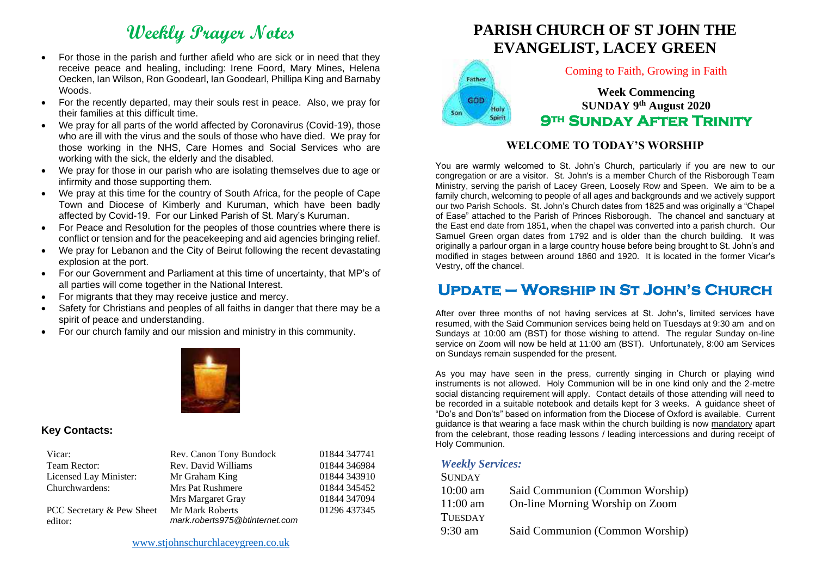# **Weekly Prayer Notes**

- For those in the parish and further afield who are sick or in need that they receive peace and healing, including: Irene Foord, Mary Mines, Helena Oecken, Ian Wilson, Ron Goodearl, Ian Goodearl, Phillipa King and Barnaby Woods.
- For the recently departed, may their souls rest in peace. Also, we pray for their families at this difficult time.
- We pray for all parts of the world affected by Coronavirus (Covid-19), those who are ill with the virus and the souls of those who have died. We pray for those working in the NHS, Care Homes and Social Services who are working with the sick, the elderly and the disabled.
- We pray for those in our parish who are isolating themselves due to age or infirmity and those supporting them.
- We pray at this time for the country of South Africa, for the people of Cape Town and Diocese of Kimberly and Kuruman, which have been badly affected by Covid-19. For our Linked Parish of St. Mary's Kuruman.
- For Peace and Resolution for the peoples of those countries where there is conflict or tension and for the peacekeeping and aid agencies bringing relief.
- We pray for Lebanon and the City of Beirut following the recent devastating explosion at the port.
- For our Government and Parliament at this time of uncertainty, that MP's of all parties will come together in the National Interest.
- For migrants that they may receive justice and mercy.
- Safety for Christians and peoples of all faiths in danger that there may be a spirit of peace and understanding.
- For our church family and our mission and ministry in this community.



#### **Key Contacts:**

| Vicar:                               | Rev. Canon Tony Bundock                                  | 01844 347741 |
|--------------------------------------|----------------------------------------------------------|--------------|
| Team Rector:                         | Rev. David Williams                                      | 01844 346984 |
| Licensed Lay Minister:               | Mr Graham King                                           | 01844 343910 |
| Churchwardens:                       | Mrs Pat Rushmere                                         | 01844 345452 |
|                                      | Mrs Margaret Gray                                        | 01844 347094 |
| PCC Secretary & Pew Sheet<br>editor: | <b>Mr Mark Roberts</b><br>mark.roberts975@btinternet.com | 01296 437345 |





#### Coming to Faith, Growing in Faith

**Week Commencing SUNDAY 9 th August 2020 9th Sunday After Trinity** 

## **WELCOME TO TODAY'S WORSHIP**

You are warmly welcomed to St. John's Church, particularly if you are new to our congregation or are a visitor. St. John's is a member Church of the Risborough Team Ministry, serving the parish of Lacey Green, Loosely Row and Speen. We aim to be a family church, welcoming to people of all ages and backgrounds and we actively support our two Parish Schools. St. John's Church dates from 1825 and was originally a "Chapel of Ease" attached to the Parish of Princes Risborough. The chancel and sanctuary at the East end date from 1851, when the chapel was converted into a parish church. Our Samuel Green organ dates from 1792 and is older than the church building. It was originally a parlour organ in a large country house before being brought to St. John's and modified in stages between around 1860 and 1920. It is located in the former Vicar's Vestry, off the chancel.

## **Update – Worship in St John's Church**

After over three months of not having services at St. John's, limited services have resumed, with the Said Communion services being held on Tuesdays at 9:30 am and on Sundays at 10:00 am (BST) for those wishing to attend. The regular Sunday on-line service on Zoom will now be held at 11:00 am (BST). Unfortunately, 8:00 am Services on Sundays remain suspended for the present.

As you may have seen in the press, currently singing in Church or playing wind instruments is not allowed. Holy Communion will be in one kind only and the 2-metre social distancing requirement will apply. Contact details of those attending will need to be recorded in a suitable notebook and details kept for 3 weeks. A guidance sheet of "Do's and Don'ts" based on information from the Diocese of Oxford is available. Current guidance is that wearing a face mask within the church building is now mandatory apart from the celebrant, those reading lessons / leading intercessions and during receipt of Holy Communion.

#### *Weekly Services:*  $S_{\text{SIN}}$

| SUNDAY         |                                 |
|----------------|---------------------------------|
| $10:00$ am     | Said Communion (Common Worship) |
| $11:00$ am     | On-line Morning Worship on Zoom |
| <b>TUESDAY</b> |                                 |
| $9:30$ am      | Said Communion (Common Worship) |
|                |                                 |